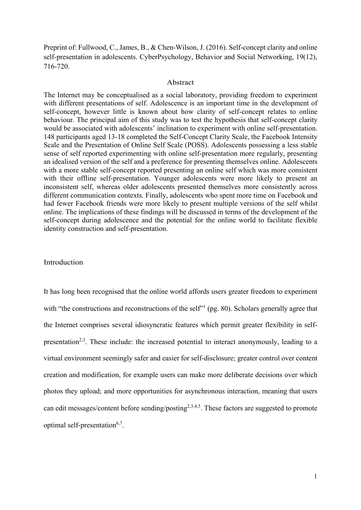Preprint of: Fullwood, C., James, B., & Chen-Wilson, J. (2016). Self-concept clarity and online self-presentation in adolescents. CyberPsychology, Behavior and Social Networking, 19(12), 716-720.

#### Abstract

The Internet may be conceptualised as a social laboratory, providing freedom to experiment with different presentations of self. Adolescence is an important time in the development of self-concept, however little is known about how clarity of self-concept relates to online behaviour. The principal aim of this study was to test the hypothesis that self-concept clarity would be associated with adolescents' inclination to experiment with online self-presentation. 148 participants aged 13-18 completed the Self-Concept Clarity Scale, the Facebook Intensity Scale and the Presentation of Online Self Scale (POSS). Adolescents possessing a less stable sense of self reported experimenting with online self-presentation more regularly, presenting an idealised version of the self and a preference for presenting themselves online. Adolescents with a more stable self-concept reported presenting an online self which was more consistent with their offline self-presentation. Younger adolescents were more likely to present an inconsistent self, whereas older adolescents presented themselves more consistently across different communication contexts. Finally, adolescents who spent more time on Facebook and had fewer Facebook friends were more likely to present multiple versions of the self whilst online. The implications of these findings will be discussed in terms of the development of the self-concept during adolescence and the potential for the online world to facilitate flexible identity construction and self-presentation.

# Introduction

It has long been recognised that the online world affords users greater freedom to experiment with "the constructions and reconstructions of the self"<sup>1</sup> (pg. 80). Scholars generally agree that the Internet comprises several idiosyncratic features which permit greater flexibility in selfpresentation<sup>2,3</sup>. These include: the increased potential to interact anonymously, leading to a virtual environment seemingly safer and easier for self-disclosure; greater control over content creation and modification, for example users can make more deliberate decisions over which photos they upload; and more opportunities for asynchronous interaction, meaning that users can edit messages/content before sending/posting<sup>2,3,4,5</sup>. These factors are suggested to promote optimal self-presentation<sup>6,7</sup>.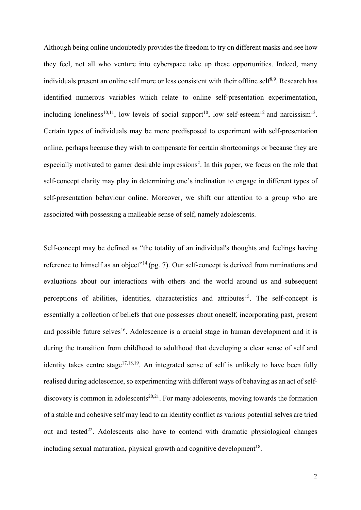Although being online undoubtedly provides the freedom to try on different masks and see how they feel, not all who venture into cyberspace take up these opportunities. Indeed, many individuals present an online self more or less consistent with their offline self<sup>8,9</sup>. Research has identified numerous variables which relate to online self-presentation experimentation, including loneliness<sup>10,11</sup>, low levels of social support<sup>10</sup>, low self-esteem<sup>12</sup> and narcissism<sup>13</sup>. Certain types of individuals may be more predisposed to experiment with self-presentation online, perhaps because they wish to compensate for certain shortcomings or because they are especially motivated to garner desirable impressions<sup>2</sup>. In this paper, we focus on the role that self-concept clarity may play in determining one's inclination to engage in different types of self-presentation behaviour online. Moreover, we shift our attention to a group who are associated with possessing a malleable sense of self, namely adolescents.

Self-concept may be defined as "the totality of an individual's thoughts and feelings having reference to himself as an object"<sup>14</sup>(pg. 7). Our self-concept is derived from ruminations and evaluations about our interactions with others and the world around us and subsequent perceptions of abilities, identities, characteristics and attributes<sup>15</sup>. The self-concept is essentially a collection of beliefs that one possesses about oneself, incorporating past, present and possible future selves<sup>16</sup>. Adolescence is a crucial stage in human development and it is during the transition from childhood to adulthood that developing a clear sense of self and identity takes centre stage<sup>17,18,19</sup>. An integrated sense of self is unlikely to have been fully realised during adolescence, so experimenting with different ways of behaving as an act of selfdiscovery is common in adolescents<sup>20,21</sup>. For many adolescents, moving towards the formation of a stable and cohesive self may lead to an identity conflict as various potential selves are tried out and tested<sup>22</sup>. Adolescents also have to contend with dramatic physiological changes including sexual maturation, physical growth and cognitive development<sup>18</sup>.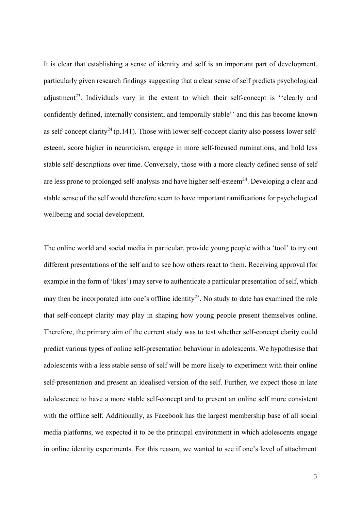It is clear that establishing a sense of identity and self is an important part of development, particularly given research findings suggesting that a clear sense of self predicts psychological adjustment<sup>23</sup>. Individuals vary in the extent to which their self-concept is "clearly and confidently defined, internally consistent, and temporally stable'' and this has become known as self-concept clarity<sup>24</sup> (p.141). Those with lower self-concept clarity also possess lower selfesteem, score higher in neuroticism, engage in more self-focused ruminations, and hold less stable self-descriptions over time. Conversely, those with a more clearly defined sense of self are less prone to prolonged self-analysis and have higher self-esteem $^{24}$ . Developing a clear and stable sense of the self would therefore seem to have important ramifications for psychological wellbeing and social development.

The online world and social media in particular, provide young people with a 'tool' to try out different presentations of the self and to see how others react to them. Receiving approval (for example in the form of 'likes') may serve to authenticate a particular presentation of self, which may then be incorporated into one's offline identity<sup>25</sup>. No study to date has examined the role that self-concept clarity may play in shaping how young people present themselves online. Therefore, the primary aim of the current study was to test whether self-concept clarity could predict various types of online self-presentation behaviour in adolescents. We hypothesise that adolescents with a less stable sense of self will be more likely to experiment with their online self-presentation and present an idealised version of the self. Further, we expect those in late adolescence to have a more stable self-concept and to present an online self more consistent with the offline self. Additionally, as Facebook has the largest membership base of all social media platforms, we expected it to be the principal environment in which adolescents engage in online identity experiments. For this reason, we wanted to see if one's level of attachment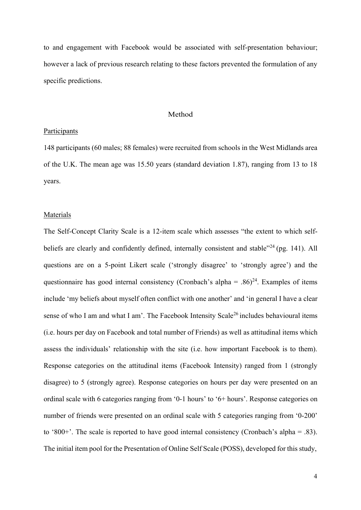to and engagement with Facebook would be associated with self-presentation behaviour; however a lack of previous research relating to these factors prevented the formulation of any specific predictions.

#### Method

### Participants

148 participants (60 males; 88 females) were recruited from schools in the West Midlands area of the U.K. The mean age was 15.50 years (standard deviation 1.87), ranging from 13 to 18 years.

### Materials

The Self-Concept Clarity Scale is a 12-item scale which assesses "the extent to which selfbeliefs are clearly and confidently defined, internally consistent and stable"<sup>24</sup> (pg. 141). All questions are on a 5-point Likert scale ('strongly disagree' to 'strongly agree') and the questionnaire has good internal consistency (Cronbach's alpha = .86)<sup>24</sup>. Examples of items include 'my beliefs about myself often conflict with one another' and 'in general I have a clear sense of who I am and what I am'. The Facebook Intensity Scale<sup>26</sup> includes behavioural items (i.e. hours per day on Facebook and total number of Friends) as well as attitudinal items which assess the individuals' relationship with the site (i.e. how important Facebook is to them). Response categories on the attitudinal items (Facebook Intensity) ranged from 1 (strongly disagree) to 5 (strongly agree). Response categories on hours per day were presented on an ordinal scale with 6 categories ranging from '0-1 hours' to '6+ hours'. Response categories on number of friends were presented on an ordinal scale with 5 categories ranging from '0-200' to '800+'. The scale is reported to have good internal consistency (Cronbach's alpha = .83). The initial item pool for the Presentation of Online Self Scale (POSS), developed for this study,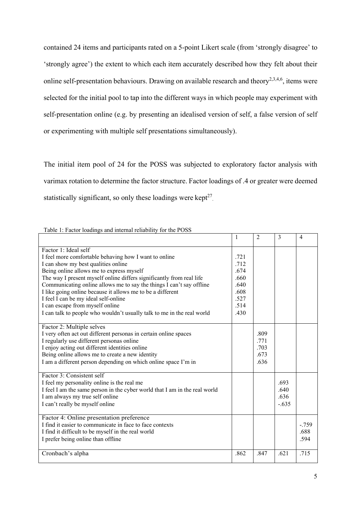contained 24 items and participants rated on a 5-point Likert scale (from 'strongly disagree' to 'strongly agree') the extent to which each item accurately described how they felt about their online self-presentation behaviours. Drawing on available research and theory<sup>2,3,4,6</sup>, items were selected for the initial pool to tap into the different ways in which people may experiment with self-presentation online (e.g. by presenting an idealised version of self, a false version of self or experimenting with multiple self presentations simultaneously).

The initial item pool of 24 for the POSS was subjected to exploratory factor analysis with varimax rotation to determine the factor structure. Factor loadings of .4 or greater were deemed statistically significant, so only these loadings were kept $2^7$ .

| $\sim$ and morning removed,                                                |      |                |         |         |
|----------------------------------------------------------------------------|------|----------------|---------|---------|
|                                                                            | 1    | $\overline{2}$ | 3       | 4       |
| Factor 1: Ideal self                                                       |      |                |         |         |
| I feel more comfortable behaving how I want to online                      | .721 |                |         |         |
| I can show my best qualities online                                        | .712 |                |         |         |
| Being online allows me to express myself                                   | .674 |                |         |         |
| The way I present myself online differs significantly from real life       | .660 |                |         |         |
| Communicating online allows me to say the things I can't say offline       | .640 |                |         |         |
| I like going online because it allows me to be a different                 | .608 |                |         |         |
| I feel I can be my ideal self-online                                       | .527 |                |         |         |
| I can escape from myself online                                            | .514 |                |         |         |
| I can talk to people who wouldn't usually talk to me in the real world     | .430 |                |         |         |
|                                                                            |      |                |         |         |
| Factor 2: Multiple selves                                                  |      |                |         |         |
| I very often act out different personas in certain online spaces           |      | .809<br>.771   |         |         |
| I regularly use different personas online                                  |      |                |         |         |
| I enjoy acting out different identities online                             |      | .703           |         |         |
| Being online allows me to create a new identity                            |      | .673           |         |         |
| I am a different person depending on which online space I'm in             |      | .636           |         |         |
| Factor 3: Consistent self                                                  |      |                |         |         |
| I feel my personality online is the real me                                |      |                | .693    |         |
| I feel I am the same person in the cyber world that I am in the real world |      |                | .640    |         |
| I am always my true self online                                            |      |                | .636    |         |
| I can't really be myself online                                            |      |                | $-.635$ |         |
|                                                                            |      |                |         |         |
| Factor 4: Online presentation preference                                   |      |                |         |         |
| I find it easier to communicate in face to face contexts                   |      |                |         | $-.759$ |
| I find it difficult to be myself in the real world                         |      |                |         | .688    |
| I prefer being online than offline                                         |      |                |         | .594    |
| Cronbach's alpha                                                           | .862 | .847           | .621    | .715    |
|                                                                            |      |                |         |         |

Table 1: Factor loadings and internal reliability for the POSS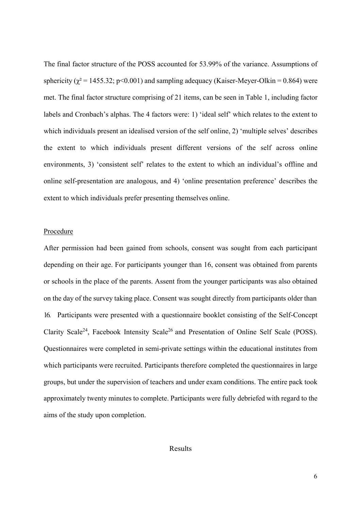The final factor structure of the POSS accounted for 53.99% of the variance. Assumptions of sphericity ( $\chi^2$  = 1455.32; p<0.001) and sampling adequacy (Kaiser-Meyer-Olkin = 0.864) were met. The final factor structure comprising of 21 items, can be seen in Table 1, including factor labels and Cronbach's alphas. The 4 factors were: 1) 'ideal self' which relates to the extent to which individuals present an idealised version of the self online, 2) 'multiple selves' describes the extent to which individuals present different versions of the self across online environments, 3) 'consistent self' relates to the extent to which an individual's offline and online self-presentation are analogous, and 4) 'online presentation preference' describes the extent to which individuals prefer presenting themselves online.

#### Procedure

After permission had been gained from schools, consent was sought from each participant depending on their age. For participants younger than 16, consent was obtained from parents or schools in the place of the parents. Assent from the younger participants was also obtained on the day of the survey taking place. Consent was sought directly from participants older than 16. Participants were presented with a questionnaire booklet consisting of the Self-Concept Clarity Scale<sup>24</sup>, Facebook Intensity Scale<sup>26</sup> and Presentation of Online Self Scale (POSS). Questionnaires were completed in semi-private settings within the educational institutes from which participants were recruited. Participants therefore completed the questionnaires in large groups, but under the supervision of teachers and under exam conditions. The entire pack took approximately twenty minutes to complete. Participants were fully debriefed with regard to the aims of the study upon completion.

### Results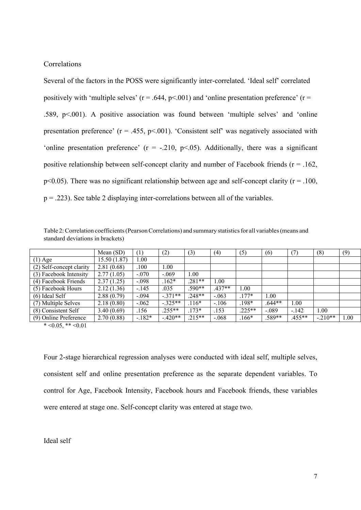# Correlations

Several of the factors in the POSS were significantly inter-correlated. 'Ideal self' correlated positively with 'multiple selves' ( $r = .644$ ,  $p < .001$ ) and 'online presentation preference' ( $r =$ .589, p<.001). A positive association was found between 'multiple selves' and 'online presentation preference' ( $r = .455$ ,  $p < .001$ ). 'Consistent self' was negatively associated with 'online presentation preference'  $(r = -.210, p < .05)$ . Additionally, there was a significant positive relationship between self-concept clarity and number of Facebook friends ( $r = .162$ ,  $p<0.05$ ). There was no significant relationship between age and self-concept clarity ( $r = .100$ ,  $p = .223$ ). See table 2 displaying inter-correlations between all of the variables.

Table 2:Correlation coefficients(PearsonCorrelations) and summary statisticsfor all variables(means and standard deviations in brackets)

|                          | Mean $(SD)$ | (1)      | (2)                 | (3)                 | (4)      | (5)                 | (6)      | (7)      | (8)       | (9)  |
|--------------------------|-------------|----------|---------------------|---------------------|----------|---------------------|----------|----------|-----------|------|
| $(1)$ Age                | 15.50(1.87) | 00.      |                     |                     |          |                     |          |          |           |      |
| (2) Self-concept clarity | 2.81(0.68)  | .100     | .00.                |                     |          |                     |          |          |           |      |
| (3) Facebook Intensity   | 2.77(1.05)  | $-.070$  | $-.069$             | 1.00                |          |                     |          |          |           |      |
| (4) Facebook Friends     | 2.37(1.25)  | $-.098$  | $\overline{.162}^*$ | $.281**$            | .00.     |                     |          |          |           |      |
| (5) Facebook Hours       | 2.12(1.36)  | $-.145$  | .035                | $.590**$            | $.437**$ | 1.00                |          |          |           |      |
| $(6)$ Ideal Self         | 2.88(0.79)  | $-.094$  | $-371**$            | $.248**$            | $-.063$  | $\overline{.177}$ * | 1.00     |          |           |      |
| (7) Multiple Selves      | 2.18(0.80)  | $-.062$  | $-.325**$           | $\overline{.116}^*$ | $-.106$  | $.198*$             | $.644**$ | 1.00     |           |      |
| (8) Consistent Self      | 3.40(0.69)  | .156     | $.255**$            | $.173*$             | .153     | $.225**$            | $-.089$  | $-.142$  | 1.00      |      |
| (9) Online Preference    | 2.70(0.88)  | $-.182*$ | $-.420**$           | $.215**$            | $-.068$  | $.166*$             | .589**   | $.455**$ | $-.210**$ | 1.00 |

 $* < 0.05, ** < 0.01$ 

Four 2-stage hierarchical regression analyses were conducted with ideal self, multiple selves, consistent self and online presentation preference as the separate dependent variables. To control for Age, Facebook Intensity, Facebook hours and Facebook friends, these variables were entered at stage one. Self-concept clarity was entered at stage two.

# Ideal self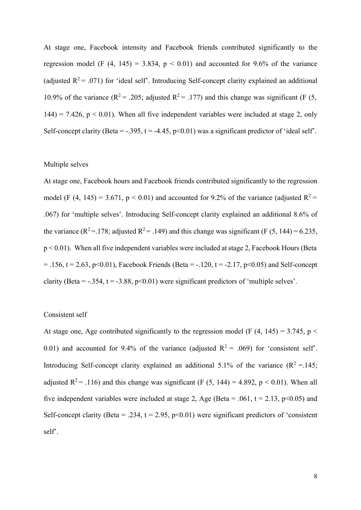At stage one, Facebook intensity and Facebook friends contributed significantly to the regression model (F  $(4, 145) = 3.834$ ,  $p < 0.01$ ) and accounted for 9.6% of the variance (adjusted  $R^2$  = .071) for 'ideal self'. Introducing Self-concept clarity explained an additional 10.9% of the variance ( $R^2 = .205$ ; adjusted  $R^2 = .177$ ) and this change was significant (F (5,  $144$ ) = 7.426, p < 0.01). When all five independent variables were included at stage 2, only Self-concept clarity (Beta = -.395, t = -4.45,  $p<0.01$ ) was a significant predictor of 'ideal self'.

#### Multiple selves

At stage one, Facebook hours and Facebook friends contributed significantly to the regression model (F (4, 145) = 3.671,  $p < 0.01$ ) and accounted for 9.2% of the variance (adjusted  $R^2$  = .067) for 'multiple selves'. Introducing Self-concept clarity explained an additional 8.6% of the variance ( $\mathbb{R}^2 = 178$ ; adjusted  $\mathbb{R}^2 = 0.149$ ) and this change was significant (F (5, 144) = 6.235, p < 0.01). When all five independent variables were included at stage 2, Facebook Hours (Beta  $= .156$ , t = 2.63, p<0.01), Facebook Friends (Beta = -.120, t = -2.17, p<0.05) and Self-concept clarity (Beta =  $-.354$ , t =  $-.388$ , p $<0.01$ ) were significant predictors of 'multiple selves'.

# Consistent self

At stage one, Age contributed significantly to the regression model (F  $(4, 145) = 3.745$ , p  $\le$ 0.01) and accounted for 9.4% of the variance (adjusted  $R^2 = .069$ ) for 'consistent self'. Introducing Self-concept clarity explained an additional 5.1% of the variance  $(R^2 = 145;$ adjusted  $R^2$  = .116) and this change was significant (F (5, 144) = 4.892, p < 0.01). When all five independent variables were included at stage 2, Age (Beta = .061,  $t = 2.13$ ,  $p \le 0.05$ ) and Self-concept clarity (Beta = .234,  $t = 2.95$ ,  $p<0.01$ ) were significant predictors of 'consistent self'.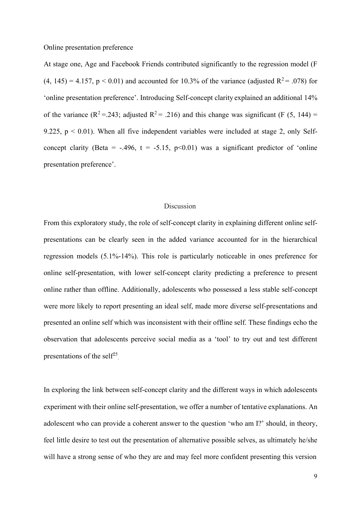Online presentation preference

At stage one, Age and Facebook Friends contributed significantly to the regression model (F  $(4, 145) = 4.157$ ,  $p < 0.01$ ) and accounted for 10.3% of the variance (adjusted R<sup>2</sup> = .078) for 'online presentation preference'. Introducing Self-concept clarity explained an additional 14% of the variance ( $R^2 = 0.243$ ; adjusted  $R^2 = 0.216$ ) and this change was significant (F (5, 144) = 9.225,  $p \le 0.01$ ). When all five independent variables were included at stage 2, only Selfconcept clarity (Beta = -.496,  $t = -5.15$ ,  $p<0.01$ ) was a significant predictor of 'online presentation preference'.

# **Discussion**

presentations of the self<sup>25</sup>. From this exploratory study, the role of self-concept clarity in explaining different online selfpresentations can be clearly seen in the added variance accounted for in the hierarchical regression models (5.1%-14%). This role is particularly noticeable in ones preference for online self-presentation, with lower self-concept clarity predicting a preference to present online rather than offline. Additionally, adolescents who possessed a less stable self-concept were more likely to report presenting an ideal self, made more diverse self-presentations and presented an online self which was inconsistent with their offline self. These findings echo the observation that adolescents perceive social media as a 'tool' to try out and test different

In exploring the link between self-concept clarity and the different ways in which adolescents experiment with their online self-presentation, we offer a number of tentative explanations. An adolescent who can provide a coherent answer to the question 'who am I?' should, in theory, feel little desire to test out the presentation of alternative possible selves, as ultimately he/she will have a strong sense of who they are and may feel more confident presenting this version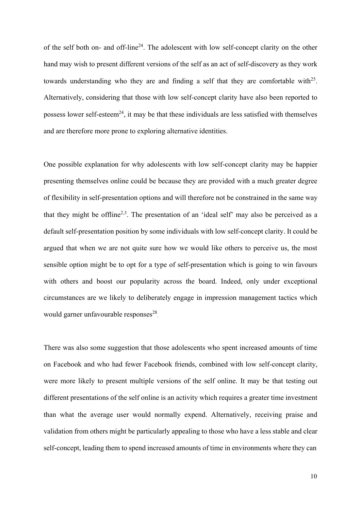of the self both on- and off-line<sup>24</sup>. The adolescent with low self-concept clarity on the other hand may wish to present different versions of the self as an act of self-discovery as they work towards understanding who they are and finding a self that they are comfortable with $^{25}$ . Alternatively, considering that those with low self-concept clarity have also been reported to possess lower self-esteem<sup>24</sup>, it may be that these individuals are less satisfied with themselves and are therefore more prone to exploring alternative identities.

One possible explanation for why adolescents with low self-concept clarity may be happier presenting themselves online could be because they are provided with a much greater degree of flexibility in self-presentation options and will therefore not be constrained in the same way that they might be offline<sup>2,3</sup>. The presentation of an 'ideal self' may also be perceived as a default self-presentation position by some individuals with low self-concept clarity. It could be argued that when we are not quite sure how we would like others to perceive us, the most sensible option might be to opt for a type of self-presentation which is going to win favours with others and boost our popularity across the board. Indeed, only under exceptional circumstances are we likely to deliberately engage in impression management tactics which would garner unfavourable responses<sup>28</sup>.

There was also some suggestion that those adolescents who spent increased amounts of time on Facebook and who had fewer Facebook friends, combined with low self-concept clarity, were more likely to present multiple versions of the self online. It may be that testing out different presentations of the self online is an activity which requires a greater time investment than what the average user would normally expend. Alternatively, receiving praise and validation from others might be particularly appealing to those who have a less stable and clear self-concept, leading them to spend increased amounts of time in environments where they can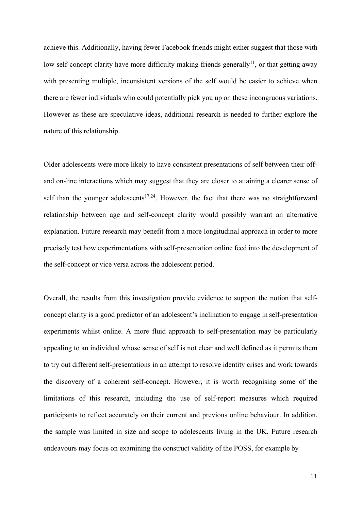achieve this. Additionally, having fewer Facebook friends might either suggest that those with low self-concept clarity have more difficulty making friends generally<sup>11</sup>, or that getting away with presenting multiple, inconsistent versions of the self would be easier to achieve when there are fewer individuals who could potentially pick you up on these incongruous variations. However as these are speculative ideas, additional research is needed to further explore the nature of this relationship.

Older adolescents were more likely to have consistent presentations of self between their offand on-line interactions which may suggest that they are closer to attaining a clearer sense of self than the younger adolescents<sup>17,24</sup>. However, the fact that there was no straightforward relationship between age and self-concept clarity would possibly warrant an alternative explanation. Future research may benefit from a more longitudinal approach in order to more precisely test how experimentations with self-presentation online feed into the development of the self-concept or vice versa across the adolescent period.

Overall, the results from this investigation provide evidence to support the notion that selfconcept clarity is a good predictor of an adolescent's inclination to engage in self-presentation experiments whilst online. A more fluid approach to self-presentation may be particularly appealing to an individual whose sense of self is not clear and well defined as it permits them to try out different self-presentations in an attempt to resolve identity crises and work towards the discovery of a coherent self-concept. However, it is worth recognising some of the limitations of this research, including the use of self-report measures which required participants to reflect accurately on their current and previous online behaviour. In addition, the sample was limited in size and scope to adolescents living in the UK. Future research endeavours may focus on examining the construct validity of the POSS, for example by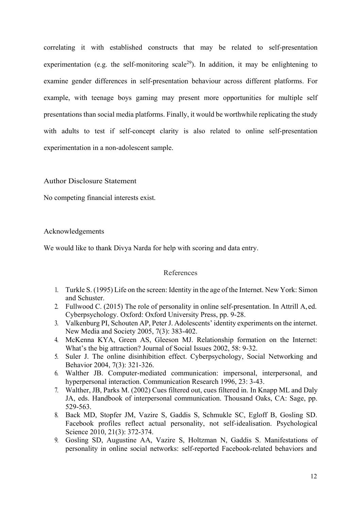correlating it with established constructs that may be related to self-presentation experimentation (e.g. the self-monitoring scale<sup>29</sup>). In addition, it may be enlightening to examine gender differences in self-presentation behaviour across different platforms. For example, with teenage boys gaming may present more opportunities for multiple self presentations than social media platforms. Finally, it would be worthwhile replicating the study with adults to test if self-concept clarity is also related to online self-presentation experimentation in a non-adolescent sample.

Author Disclosure Statement

No competing financial interests exist.

# Acknowledgements

We would like to thank Divya Narda for help with scoring and data entry.

# References

- 1. Turkle S. (1995) Life on the screen: Identity in the age of the Internet. New York: Simon and Schuster.
- 2. Fullwood C. (2015) The role of personality in online self-presentation. In Attrill A, ed. Cyberpsychology. Oxford: Oxford University Press, pp. 9-28.
- 3. Valkenburg PI, Schouten AP, Peter J. Adolescents' identity experiments on the internet. New Media and Society 2005, 7(3): 383-402.
- 4. McKenna KYA, Green AS, Gleeson MJ. Relationship formation on the Internet: What's the big attraction? Journal of Social Issues 2002, 58: 9-32.
- 5. Suler J. The online disinhibition effect. Cyberpsychology, Social Networking and Behavior 2004, 7(3): 321-326.
- 6. Walther JB. Computer-mediated communication: impersonal, interpersonal, and hyperpersonal interaction. Communication Research 1996, 23: 3-43.
- 7. Walther, JB, Parks M. (2002) Cues filtered out, cues filtered in. In Knapp ML and Daly JA, eds. Handbook of interpersonal communication. Thousand Oaks, CA: Sage, pp. 529-563.
- 8. Back MD, Stopfer JM, Vazire S, Gaddis S, Schmukle SC, Egloff B, Gosling SD. Facebook profiles reflect actual personality, not self-idealisation. Psychological Science 2010, 21(3): 372-374.
- 9. Gosling SD, Augustine AA, Vazire S, Holtzman N, Gaddis S. Manifestations of personality in online social networks: self-reported Facebook-related behaviors and